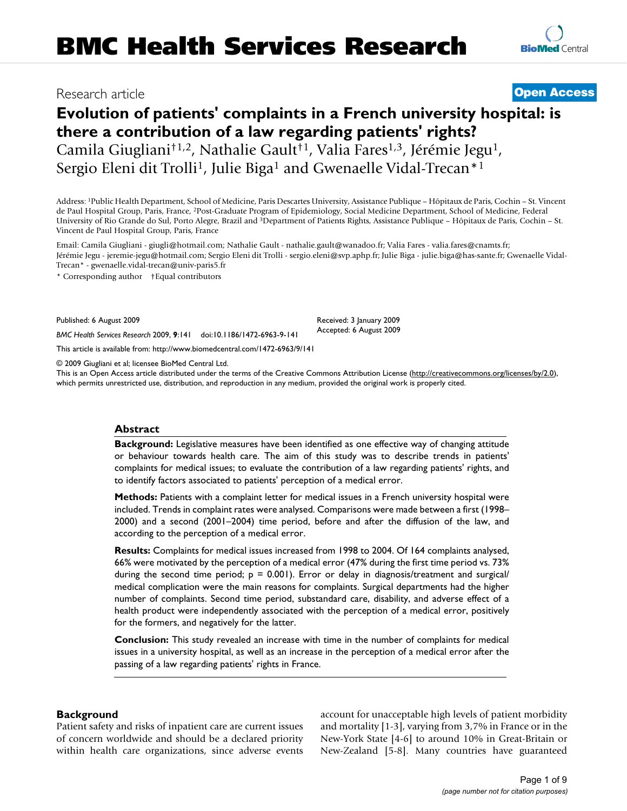# Research article **[Open Access](http://www.biomedcentral.com/info/about/charter/)**

# **Evolution of patients' complaints in a French university hospital: is there a contribution of a law regarding patients' rights?** Camila Giugliani†1,2, Nathalie Gault†1, Valia Fares1,3, Jérémie Jegu1, Sergio Eleni dit Trolli<sup>1</sup>, Julie Biga<sup>1</sup> and Gwenaelle Vidal-Trecan<sup>\*1</sup>

Address: 1Public Health Department, School of Medicine, Paris Descartes University, Assistance Publique – Hôpitaux de Paris, Cochin – St. Vincent de Paul Hospital Group, Paris, France, 2Post-Graduate Program of Epidemiology, Social Medicine Department, School of Medicine, Federal University of Rio Grande do Sul, Porto Alegre, Brazil and 3Department of Patients Rights, Assistance Publique – Hôpitaux de Paris, Cochin – St. Vincent de Paul Hospital Group, Paris, France

Email: Camila Giugliani - giugli@hotmail.com; Nathalie Gault - nathalie.gault@wanadoo.fr; Valia Fares - valia.fares@cnamts.fr; Jérémie Jegu - jeremie-jegu@hotmail.com; Sergio Eleni dit Trolli - sergio.eleni@svp.aphp.fr; Julie Biga - julie.biga@has-sante.fr; Gwenaelle Vidal-Trecan\* - gwenaelle.vidal-trecan@univ-paris5.fr

> Received: 3 January 2009 Accepted: 6 August 2009

\* Corresponding author †Equal contributors

Published: 6 August 2009

*BMC Health Services Research* 2009, **9**:141 doi:10.1186/1472-6963-9-141

[This article is available from: http://www.biomedcentral.com/1472-6963/9/141](http://www.biomedcentral.com/1472-6963/9/141)

© 2009 Giugliani et al; licensee BioMed Central Ltd.

This is an Open Access article distributed under the terms of the Creative Commons Attribution License [\(http://creativecommons.org/licenses/by/2.0\)](http://creativecommons.org/licenses/by/2.0), which permits unrestricted use, distribution, and reproduction in any medium, provided the original work is properly cited.

### **Abstract**

**Background:** Legislative measures have been identified as one effective way of changing attitude or behaviour towards health care. The aim of this study was to describe trends in patients' complaints for medical issues; to evaluate the contribution of a law regarding patients' rights, and to identify factors associated to patients' perception of a medical error.

**Methods:** Patients with a complaint letter for medical issues in a French university hospital were included. Trends in complaint rates were analysed. Comparisons were made between a first (1998– 2000) and a second (2001–2004) time period, before and after the diffusion of the law, and according to the perception of a medical error.

**Results:** Complaints for medical issues increased from 1998 to 2004. Of 164 complaints analysed, 66% were motivated by the perception of a medical error (47% during the first time period vs. 73% during the second time period;  $p = 0.001$ ). Error or delay in diagnosis/treatment and surgical/ medical complication were the main reasons for complaints. Surgical departments had the higher number of complaints. Second time period, substandard care, disability, and adverse effect of a health product were independently associated with the perception of a medical error, positively for the formers, and negatively for the latter.

**Conclusion:** This study revealed an increase with time in the number of complaints for medical issues in a university hospital, as well as an increase in the perception of a medical error after the passing of a law regarding patients' rights in France.

# **Background**

Patient safety and risks of inpatient care are current issues of concern worldwide and should be a declared priority within health care organizations, since adverse events account for unacceptable high levels of patient morbidity and mortality [1-3], varying from 3,7% in France or in the New-York State [4-6] to around 10% in Great-Britain or New-Zealand [5-8]. Many countries have guaranteed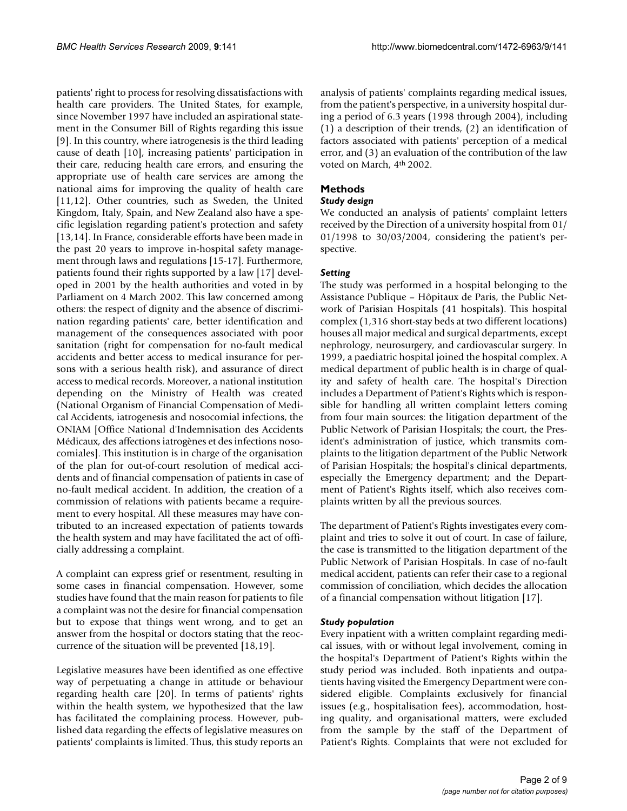patients' right to process for resolving dissatisfactions with health care providers. The United States, for example, since November 1997 have included an aspirational statement in the Consumer Bill of Rights regarding this issue [9]. In this country, where iatrogenesis is the third leading cause of death [10], increasing patients' participation in their care, reducing health care errors, and ensuring the appropriate use of health care services are among the national aims for improving the quality of health care [11,12]. Other countries, such as Sweden, the United Kingdom, Italy, Spain, and New Zealand also have a specific legislation regarding patient's protection and safety [13,14]. In France, considerable efforts have been made in the past 20 years to improve in-hospital safety management through laws and regulations [15-17]. Furthermore, patients found their rights supported by a law [17] developed in 2001 by the health authorities and voted in by Parliament on 4 March 2002. This law concerned among others: the respect of dignity and the absence of discrimination regarding patients' care, better identification and management of the consequences associated with poor sanitation (right for compensation for no-fault medical accidents and better access to medical insurance for persons with a serious health risk), and assurance of direct access to medical records. Moreover, a national institution depending on the Ministry of Health was created (National Organism of Financial Compensation of Medical Accidents, iatrogenesis and nosocomial infections, the ONIAM [Office National d'Indemnisation des Accidents Médicaux, des affections iatrogènes et des infections nosocomiales]. This institution is in charge of the organisation of the plan for out-of-court resolution of medical accidents and of financial compensation of patients in case of no-fault medical accident. In addition, the creation of a commission of relations with patients became a requirement to every hospital. All these measures may have contributed to an increased expectation of patients towards the health system and may have facilitated the act of officially addressing a complaint.

A complaint can express grief or resentment, resulting in some cases in financial compensation. However, some studies have found that the main reason for patients to file a complaint was not the desire for financial compensation but to expose that things went wrong, and to get an answer from the hospital or doctors stating that the reoccurrence of the situation will be prevented [18,19].

Legislative measures have been identified as one effective way of perpetuating a change in attitude or behaviour regarding health care [20]. In terms of patients' rights within the health system, we hypothesized that the law has facilitated the complaining process. However, published data regarding the effects of legislative measures on patients' complaints is limited. Thus, this study reports an

analysis of patients' complaints regarding medical issues, from the patient's perspective, in a university hospital during a period of 6.3 years (1998 through 2004), including (1) a description of their trends, (2) an identification of factors associated with patients' perception of a medical error, and (3) an evaluation of the contribution of the law voted on March, 4<sup>th</sup> 2002.

# **Methods**

# *Study design*

We conducted an analysis of patients' complaint letters received by the Direction of a university hospital from 01/ 01/1998 to 30/03/2004, considering the patient's perspective.

# *Setting*

The study was performed in a hospital belonging to the Assistance Publique – Hôpitaux de Paris, the Public Network of Parisian Hospitals (41 hospitals). This hospital complex (1,316 short-stay beds at two different locations) houses all major medical and surgical departments, except nephrology, neurosurgery, and cardiovascular surgery. In 1999, a paediatric hospital joined the hospital complex. A medical department of public health is in charge of quality and safety of health care. The hospital's Direction includes a Department of Patient's Rights which is responsible for handling all written complaint letters coming from four main sources: the litigation department of the Public Network of Parisian Hospitals; the court, the President's administration of justice, which transmits complaints to the litigation department of the Public Network of Parisian Hospitals; the hospital's clinical departments, especially the Emergency department; and the Department of Patient's Rights itself, which also receives complaints written by all the previous sources.

The department of Patient's Rights investigates every complaint and tries to solve it out of court. In case of failure, the case is transmitted to the litigation department of the Public Network of Parisian Hospitals. In case of no-fault medical accident, patients can refer their case to a regional commission of conciliation, which decides the allocation of a financial compensation without litigation [17].

### *Study population*

Every inpatient with a written complaint regarding medical issues, with or without legal involvement, coming in the hospital's Department of Patient's Rights within the study period was included. Both inpatients and outpatients having visited the Emergency Department were considered eligible. Complaints exclusively for financial issues (e.g., hospitalisation fees), accommodation, hosting quality, and organisational matters, were excluded from the sample by the staff of the Department of Patient's Rights. Complaints that were not excluded for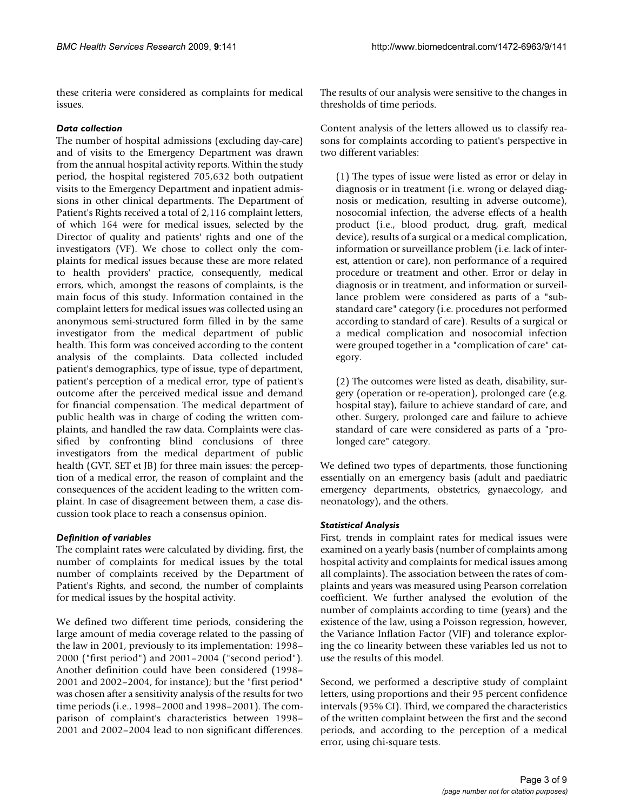these criteria were considered as complaints for medical issues.

### *Data collection*

The number of hospital admissions (excluding day-care) and of visits to the Emergency Department was drawn from the annual hospital activity reports. Within the study period, the hospital registered 705,632 both outpatient visits to the Emergency Department and inpatient admissions in other clinical departments. The Department of Patient's Rights received a total of 2,116 complaint letters, of which 164 were for medical issues, selected by the Director of quality and patients' rights and one of the investigators (VF). We chose to collect only the complaints for medical issues because these are more related to health providers' practice, consequently, medical errors, which, amongst the reasons of complaints, is the main focus of this study. Information contained in the complaint letters for medical issues was collected using an anonymous semi-structured form filled in by the same investigator from the medical department of public health. This form was conceived according to the content analysis of the complaints. Data collected included patient's demographics, type of issue, type of department, patient's perception of a medical error, type of patient's outcome after the perceived medical issue and demand for financial compensation. The medical department of public health was in charge of coding the written complaints, and handled the raw data. Complaints were classified by confronting blind conclusions of three investigators from the medical department of public health (GVT, SET et JB) for three main issues: the perception of a medical error, the reason of complaint and the consequences of the accident leading to the written complaint. In case of disagreement between them, a case discussion took place to reach a consensus opinion.

# *Definition of variables*

The complaint rates were calculated by dividing, first, the number of complaints for medical issues by the total number of complaints received by the Department of Patient's Rights, and second, the number of complaints for medical issues by the hospital activity.

We defined two different time periods, considering the large amount of media coverage related to the passing of the law in 2001, previously to its implementation: 1998– 2000 ("first period") and 2001–2004 ("second period"). Another definition could have been considered (1998– 2001 and 2002–2004, for instance); but the "first period" was chosen after a sensitivity analysis of the results for two time periods (i.e., 1998–2000 and 1998–2001). The comparison of complaint's characteristics between 1998– 2001 and 2002–2004 lead to non significant differences.

The results of our analysis were sensitive to the changes in thresholds of time periods.

Content analysis of the letters allowed us to classify reasons for complaints according to patient's perspective in two different variables:

(1) The types of issue were listed as error or delay in diagnosis or in treatment (i.e. wrong or delayed diagnosis or medication, resulting in adverse outcome), nosocomial infection, the adverse effects of a health product (i.e., blood product, drug, graft, medical device), results of a surgical or a medical complication, information or surveillance problem (i.e. lack of interest, attention or care), non performance of a required procedure or treatment and other. Error or delay in diagnosis or in treatment, and information or surveillance problem were considered as parts of a "substandard care" category (i.e. procedures not performed according to standard of care). Results of a surgical or a medical complication and nosocomial infection were grouped together in a "complication of care" category.

(2) The outcomes were listed as death, disability, surgery (operation or re-operation), prolonged care (e.g. hospital stay), failure to achieve standard of care, and other. Surgery, prolonged care and failure to achieve standard of care were considered as parts of a "prolonged care" category.

We defined two types of departments, those functioning essentially on an emergency basis (adult and paediatric emergency departments, obstetrics, gynaecology, and neonatology), and the others.

# *Statistical Analysis*

First, trends in complaint rates for medical issues were examined on a yearly basis (number of complaints among hospital activity and complaints for medical issues among all complaints). The association between the rates of complaints and years was measured using Pearson correlation coefficient. We further analysed the evolution of the number of complaints according to time (years) and the existence of the law, using a Poisson regression, however, the Variance Inflation Factor (VIF) and tolerance exploring the co linearity between these variables led us not to use the results of this model.

Second, we performed a descriptive study of complaint letters, using proportions and their 95 percent confidence intervals (95% CI). Third, we compared the characteristics of the written complaint between the first and the second periods, and according to the perception of a medical error, using chi-square tests.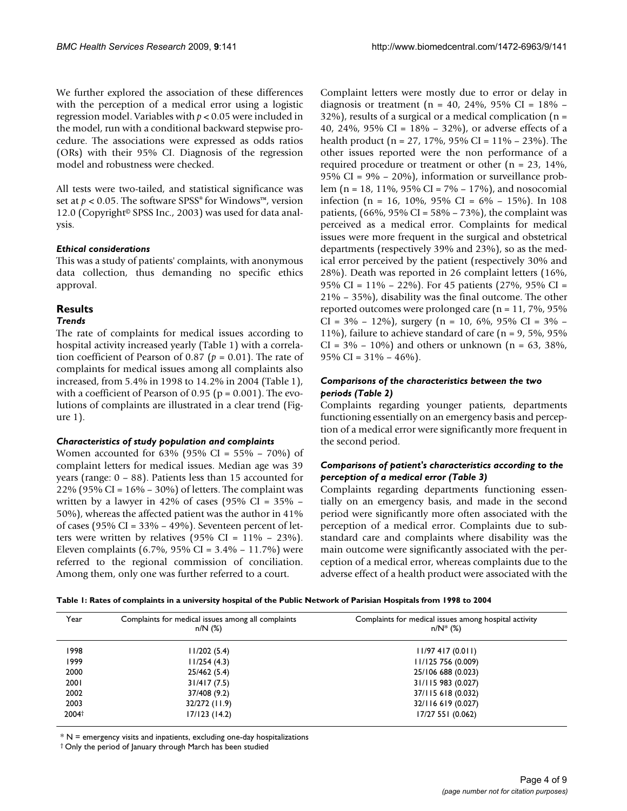We further explored the association of these differences with the perception of a medical error using a logistic regression model. Variables with *p* < 0.05 were included in the model, run with a conditional backward stepwise procedure. The associations were expressed as odds ratios (ORs) with their 95% CI. Diagnosis of the regression model and robustness were checked.

All tests were two-tailed, and statistical significance was set at  $p < 0.05$ . The software SPSS<sup>®</sup> for Windows<sup>™</sup>, version 12.0 (Copyright<sup>®</sup> SPSS Inc., 2003) was used for data analysis.

#### *Ethical considerations*

This was a study of patients' complaints, with anonymous data collection, thus demanding no specific ethics approval.

### **Results**

#### *Trends*

The rate of complaints for medical issues according to hospital activity increased yearly (Table 1) with a correlation coefficient of Pearson of 0.87 ( $p = 0.01$ ). The rate of complaints for medical issues among all complaints also increased, from 5.4% in 1998 to 14.2% in 2004 (Table 1), with a coefficient of Pearson of 0.95 ( $p = 0.001$ ). The evolutions of complaints are illustrated in a clear trend (Figure 1).

#### *Characteristics of study population and complaints*

Women accounted for 63% (95% CI = 55% – 70%) of complaint letters for medical issues. Median age was 39 years (range: 0 – 88). Patients less than 15 accounted for 22% (95% CI =  $16% - 30%$ ) of letters. The complaint was written by a lawyer in 42% of cases (95% CI =  $35\%$  – 50%), whereas the affected patient was the author in 41% of cases (95% CI =  $33\%$  –  $49\%$ ). Seventeen percent of letters were written by relatives (95% CI =  $11\%$  – 23%). Eleven complaints (6.7%, 95% CI =  $3.4\%$  – 11.7%) were referred to the regional commission of conciliation. Among them, only one was further referred to a court.

Complaint letters were mostly due to error or delay in diagnosis or treatment (n = 40, 24%, 95% CI =  $18\%$  –  $32\%$ ), results of a surgical or a medical complication (n = 40, 24%, 95% CI = 18% – 32%), or adverse effects of a health product ( $n = 27$ , 17%, 95% CI = 11% – 23%). The other issues reported were the non performance of a required procedure or treatment or other (n = 23, 14%, 95% CI = 9% – 20%), information or surveillance problem (n = 18, 11%, 95% CI =  $7\%$  – 17%), and nosocomial infection (n = 16, 10%, 95% CI =  $6\%$  – 15%). In 108 patients,  $(66\%, 95\% \text{ CI} = 58\% - 73\%)$ , the complaint was perceived as a medical error. Complaints for medical issues were more frequent in the surgical and obstetrical departments (respectively 39% and 23%), so as the medical error perceived by the patient (respectively 30% and 28%). Death was reported in 26 complaint letters (16%, 95% CI = 11% – 22%). For 45 patients (27%, 95% CI = 21% – 35%), disability was the final outcome. The other reported outcomes were prolonged care (n = 11, 7%, 95%  $CI = 3\% - 12\%$ , surgery  $(n = 10, 6\%, 95\% \text{ CI} = 3\% -$ 11%), failure to achieve standard of care ( $n = 9, 5\%$ , 95%  $CI = 3\% - 10\%$  and others or unknown (n = 63, 38%, 95% CI =  $31\% - 46\%$ .

# *Comparisons of the characteristics between the two periods (Table 2)*

Complaints regarding younger patients, departments functioning essentially on an emergency basis and perception of a medical error were significantly more frequent in the second period.

### *Comparisons of patient's characteristics according to the perception of a medical error (Table 3)*

Complaints regarding departments functioning essentially on an emergency basis, and made in the second period were significantly more often associated with the perception of a medical error. Complaints due to substandard care and complaints where disability was the main outcome were significantly associated with the perception of a medical error, whereas complaints due to the adverse effect of a health product were associated with the

|  | Table 1: Rates of complaints in a university hospital of the Public Network of Parisian Hospitals from 1998 to 2004 |  |
|--|---------------------------------------------------------------------------------------------------------------------|--|
|  |                                                                                                                     |  |

| Year  | Complaints for medical issues among all complaints<br>$n/N$ (%) | Complaints for medical issues among hospital activity<br>$n/N^*$ (%) |
|-------|-----------------------------------------------------------------|----------------------------------------------------------------------|
| 1998  | 11/202(5.4)                                                     | $11/97$ 417 (0.011)                                                  |
| 1999  | 11/254(4.3)                                                     | 11/125 756 (0.009)                                                   |
| 2000  | 25/462 (5.4)                                                    | 25/106 688 (0.023)                                                   |
| 2001  | 31/417(7.5)                                                     | 31/115 983 (0.027)                                                   |
| 2002  | 37/408 (9.2)                                                    | 37/115 618 (0.032)                                                   |
| 2003  | 32/272 (11.9)                                                   | 32/116 619 (0.027)                                                   |
| 2004t | 17/123 (14.2)                                                   | 17/27 551 (0.062)                                                    |

 $* N$  = emergency visits and inpatients, excluding one-day hospitalizations

† Only the period of January through March has been studied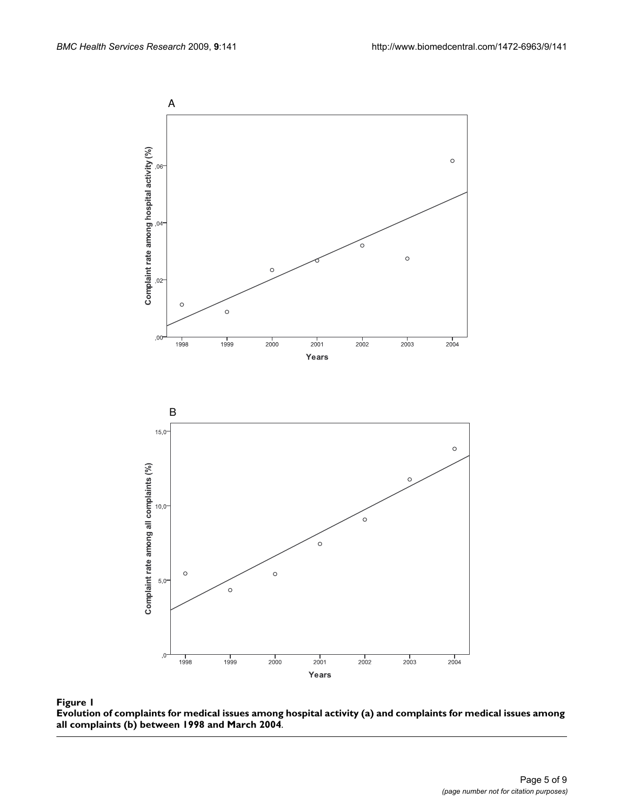

**Evolution of complaints for medical issues among hospital activity (a) and complaints for medical issues among all complaints (b) between 1998 and March 2004**.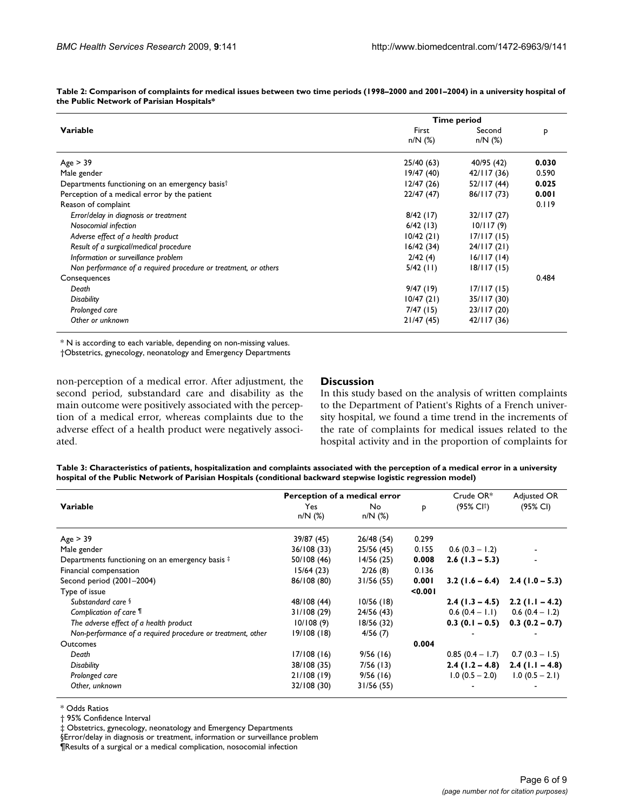|                                                                 | Time period |             |       |  |
|-----------------------------------------------------------------|-------------|-------------|-------|--|
| Variable                                                        | First       | Second      | P     |  |
|                                                                 | $n/N$ (%)   | $n/N$ (%)   |       |  |
| Age > 39                                                        | 25/40 (63)  | 40/95 (42)  | 0.030 |  |
| Male gender                                                     | 19/47(40)   | 42/117(36)  | 0.590 |  |
| Departments functioning on an emergency basis <sup>†</sup>      | 12/47(26)   | 52/117(44)  | 0.025 |  |
| Perception of a medical error by the patient                    | 22/47(47)   | 86/117 (73) | 0.001 |  |
| Reason of complaint                                             |             |             | 0.119 |  |
| Error/delay in diagnosis or treatment                           | 8/42(17)    | 32/117(27)  |       |  |
| Nosocomial infection                                            | 6/42(13)    | 10/117(9)   |       |  |
| Adverse effect of a health product                              | 10/42(21)   | 17/117(15)  |       |  |
| Result of a surgical/medical procedure                          | 16/42(34)   | 24/117(21)  |       |  |
| Information or surveillance problem                             | 2/42(4)     | 16/117(14)  |       |  |
| Non performance of a required procedure or treatment, or others | $5/42$ (11) | 18/117 (15) |       |  |
| Consequences                                                    |             |             | 0.484 |  |
| Death                                                           | 9/47(19)    | 17/117(15)  |       |  |
| <b>Disability</b>                                               | 10/47(21)   | 35/117 (30) |       |  |
| Prolonged care                                                  | $7/47$ (15) | 23/117 (20) |       |  |
| Other or unknown                                                | 21/47(45)   | 42/117(36)  |       |  |

**Table 2: Comparison of complaints for medical issues between two time periods (1998–2000 and 2001–2004) in a university hospital of the Public Network of Parisian Hospitals\***

\* N is according to each variable, depending on non-missing values.

†Obstetrics, gynecology, neonatology and Emergency Departments

non-perception of a medical error. After adjustment, the second period, substandard care and disability as the main outcome were positively associated with the perception of a medical error, whereas complaints due to the adverse effect of a health product were negatively associated.

### **Discussion**

In this study based on the analysis of written complaints to the Department of Patient's Rights of a French university hospital, we found a time trend in the increments of the rate of complaints for medical issues related to the hospital activity and in the proportion of complaints for

| Table 3: Characteristics of patients, hospitalization and complaints associated with the perception of a medical error in a university |
|----------------------------------------------------------------------------------------------------------------------------------------|
| hospital of the Public Network of Parisian Hospitals (conditional backward stepwise logistic regression model)                         |

|                                                             | Perception of a medical error |            |       | $Crude OR*$                         | Adjusted OR                       |
|-------------------------------------------------------------|-------------------------------|------------|-------|-------------------------------------|-----------------------------------|
| Variable                                                    | Yes                           | No.        | Þ     | (95% CI <sup>†</sup> )              | (95% CI)                          |
|                                                             | $n/N$ (%)                     | $n/N$ (%)  |       |                                     |                                   |
| Age > 39                                                    | 39/87 (45)                    | 26/48 (54) | 0.299 |                                     |                                   |
| Male gender                                                 | 36/108 (33)                   | 25/56(45)  | 0.155 | $0.6$ (0.3 - 1.2)                   |                                   |
| Departments functioning on an emergency basis #             | 50/108 (46)                   | 14/56(25)  | 0.008 | $2.6$ (1.3 – 5.3)                   |                                   |
| Financial compensation                                      | 15/64(23)                     | 2/26(8)    | 0.136 |                                     |                                   |
| Second period (2001-2004)                                   | 86/108 (80)                   | 31/56 (55) | 0.001 | $3.2$ (1.6 – 6.4)                   | $2.4(1.0 - 5.3)$                  |
| Type of issue                                               |                               |            | 0.001 |                                     |                                   |
| Substandard care §                                          | 48/108 (44)                   | 10/56(18)  |       | $2.4$ (1.3 – 4.5)                   | $2.2$ (1.1 – 4.2)                 |
| Complication of care 1                                      | 31/108 (29)                   | 24/56 (43) |       | $0.6 (0.4 - 1.1)$ $0.6 (0.4 - 1.2)$ |                                   |
| The adverse effect of a health product                      | 10/108(9)                     | 18/56 (32) |       |                                     | $0.3$ (0.1 – 0.5) 0.3 (0.2 – 0.7) |
| Non-performance of a required procedure or treatment, other | 19/108(18)                    | 4/56(7)    |       |                                     |                                   |
| Outcomes                                                    |                               |            | 0.004 |                                     |                                   |
| Death                                                       | 17/108(16)                    | 9/56(16)   |       | $0.85(0.4 - 1.7)$                   | $0.7(0.3 - 1.5)$                  |
| <b>Disability</b>                                           | 38/108 (35)                   | 7/56(13)   |       | $2.4(1.2 - 4.8)$                    | $2.4$ (1.1 – 4.8)                 |
| Prolonged care                                              | 21/108(19)                    | 9/56(16)   |       | $1.0(0.5 - 2.0)$                    | $1.0(0.5 - 2.1)$                  |
| Other, unknown                                              | 32/108 (30)                   | 31/56(55)  |       |                                     |                                   |

\* Odds Ratios

† 95% Confidence Interval

‡ Obstetrics, gynecology, neonatology and Emergency Departments

§Error/delay in diagnosis or treatment, information or surveillance problem

¶Results of a surgical or a medical complication, nosocomial infection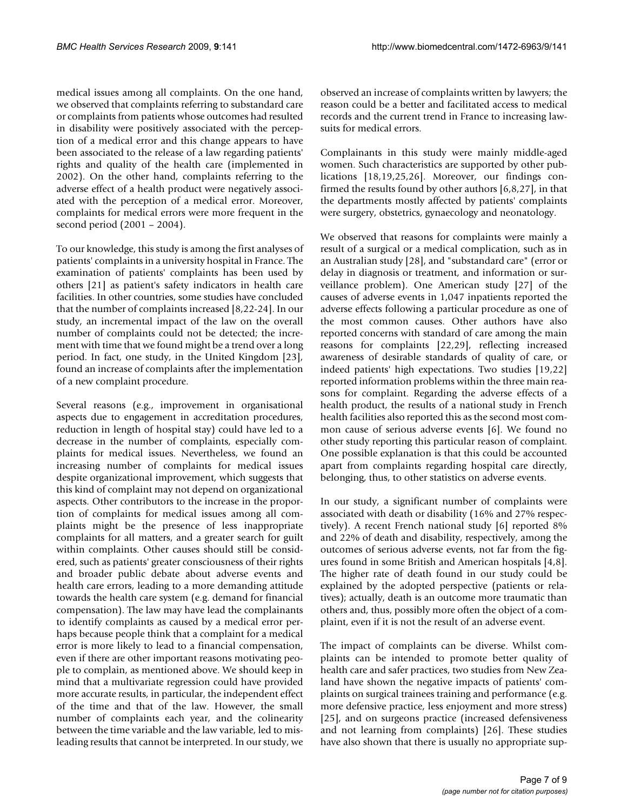medical issues among all complaints. On the one hand, we observed that complaints referring to substandard care or complaints from patients whose outcomes had resulted in disability were positively associated with the perception of a medical error and this change appears to have been associated to the release of a law regarding patients' rights and quality of the health care (implemented in 2002). On the other hand, complaints referring to the adverse effect of a health product were negatively associated with the perception of a medical error. Moreover, complaints for medical errors were more frequent in the second period (2001 – 2004).

To our knowledge, this study is among the first analyses of patients' complaints in a university hospital in France. The examination of patients' complaints has been used by others [21] as patient's safety indicators in health care facilities. In other countries, some studies have concluded that the number of complaints increased [8,22-24]. In our study, an incremental impact of the law on the overall number of complaints could not be detected; the increment with time that we found might be a trend over a long period. In fact, one study, in the United Kingdom [23], found an increase of complaints after the implementation of a new complaint procedure.

Several reasons (e.g., improvement in organisational aspects due to engagement in accreditation procedures, reduction in length of hospital stay) could have led to a decrease in the number of complaints, especially complaints for medical issues. Nevertheless, we found an increasing number of complaints for medical issues despite organizational improvement, which suggests that this kind of complaint may not depend on organizational aspects. Other contributors to the increase in the proportion of complaints for medical issues among all complaints might be the presence of less inappropriate complaints for all matters, and a greater search for guilt within complaints. Other causes should still be considered, such as patients' greater consciousness of their rights and broader public debate about adverse events and health care errors, leading to a more demanding attitude towards the health care system (e.g. demand for financial compensation). The law may have lead the complainants to identify complaints as caused by a medical error perhaps because people think that a complaint for a medical error is more likely to lead to a financial compensation, even if there are other important reasons motivating people to complain, as mentioned above. We should keep in mind that a multivariate regression could have provided more accurate results, in particular, the independent effect of the time and that of the law. However, the small number of complaints each year, and the colinearity between the time variable and the law variable, led to misleading results that cannot be interpreted. In our study, we

observed an increase of complaints written by lawyers; the reason could be a better and facilitated access to medical records and the current trend in France to increasing lawsuits for medical errors.

Complainants in this study were mainly middle-aged women. Such characteristics are supported by other publications [18,19,25,26]. Moreover, our findings confirmed the results found by other authors [6,8,27], in that the departments mostly affected by patients' complaints were surgery, obstetrics, gynaecology and neonatology.

We observed that reasons for complaints were mainly a result of a surgical or a medical complication, such as in an Australian study [28], and "substandard care" (error or delay in diagnosis or treatment, and information or surveillance problem). One American study [27] of the causes of adverse events in 1,047 inpatients reported the adverse effects following a particular procedure as one of the most common causes. Other authors have also reported concerns with standard of care among the main reasons for complaints [22,29], reflecting increased awareness of desirable standards of quality of care, or indeed patients' high expectations. Two studies [19,22] reported information problems within the three main reasons for complaint. Regarding the adverse effects of a health product, the results of a national study in French health facilities also reported this as the second most common cause of serious adverse events [6]. We found no other study reporting this particular reason of complaint. One possible explanation is that this could be accounted apart from complaints regarding hospital care directly, belonging, thus, to other statistics on adverse events.

In our study, a significant number of complaints were associated with death or disability (16% and 27% respectively). A recent French national study [6] reported 8% and 22% of death and disability, respectively, among the outcomes of serious adverse events, not far from the figures found in some British and American hospitals [4,8]. The higher rate of death found in our study could be explained by the adopted perspective (patients or relatives); actually, death is an outcome more traumatic than others and, thus, possibly more often the object of a complaint, even if it is not the result of an adverse event.

The impact of complaints can be diverse. Whilst complaints can be intended to promote better quality of health care and safer practices, two studies from New Zealand have shown the negative impacts of patients' complaints on surgical trainees training and performance (e.g. more defensive practice, less enjoyment and more stress) [25], and on surgeons practice (increased defensiveness and not learning from complaints) [26]. These studies have also shown that there is usually no appropriate sup-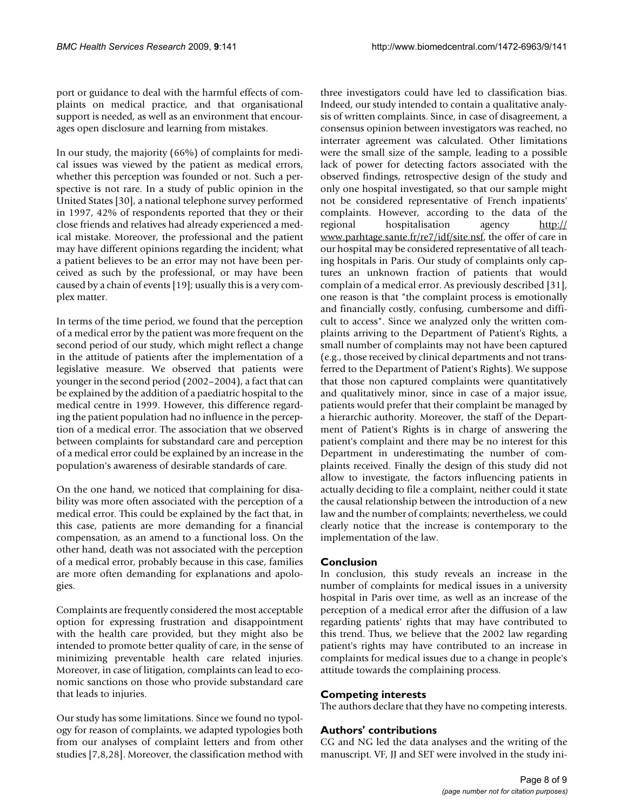port or guidance to deal with the harmful effects of complaints on medical practice, and that organisational support is needed, as well as an environment that encourages open disclosure and learning from mistakes.

In our study, the majority (66%) of complaints for medical issues was viewed by the patient as medical errors, whether this perception was founded or not. Such a perspective is not rare. In a study of public opinion in the United States [30], a national telephone survey performed in 1997, 42% of respondents reported that they or their close friends and relatives had already experienced a medical mistake. Moreover, the professional and the patient may have different opinions regarding the incident; what a patient believes to be an error may not have been perceived as such by the professional, or may have been caused by a chain of events [19]; usually this is a very complex matter.

In terms of the time period, we found that the perception of a medical error by the patient was more frequent on the second period of our study, which might reflect a change in the attitude of patients after the implementation of a legislative measure. We observed that patients were younger in the second period (2002–2004), a fact that can be explained by the addition of a paediatric hospital to the medical centre in 1999. However, this difference regarding the patient population had no influence in the perception of a medical error. The association that we observed between complaints for substandard care and perception of a medical error could be explained by an increase in the population's awareness of desirable standards of care.

On the one hand, we noticed that complaining for disability was more often associated with the perception of a medical error. This could be explained by the fact that, in this case, patients are more demanding for a financial compensation, as an amend to a functional loss. On the other hand, death was not associated with the perception of a medical error, probably because in this case, families are more often demanding for explanations and apologies.

Complaints are frequently considered the most acceptable option for expressing frustration and disappointment with the health care provided, but they might also be intended to promote better quality of care, in the sense of minimizing preventable health care related injuries. Moreover, in case of litigation, complaints can lead to economic sanctions on those who provide substandard care that leads to injuries.

Our study has some limitations. Since we found no typology for reason of complaints, we adapted typologies both from our analyses of complaint letters and from other studies [7,8,28]. Moreover, the classification method with three investigators could have led to classification bias. Indeed, our study intended to contain a qualitative analysis of written complaints. Since, in case of disagreement, a consensus opinion between investigators was reached, no interrater agreement was calculated. Other limitations were the small size of the sample, leading to a possible lack of power for detecting factors associated with the observed findings, retrospective design of the study and only one hospital investigated, so that our sample might not be considered representative of French inpatients' complaints. However, according to the data of the regional hospitalisation agency [http://](http://www.parhtage.sante.fr/re7/idf/site.nsf) [www.parhtage.sante.fr/re7/idf/site.nsf](http://www.parhtage.sante.fr/re7/idf/site.nsf), the offer of care in our hospital may be considered representative of all teaching hospitals in Paris. Our study of complaints only captures an unknown fraction of patients that would complain of a medical error. As previously described [31], one reason is that "the complaint process is emotionally and financially costly, confusing, cumbersome and difficult to access". Since we analyzed only the written complaints arriving to the Department of Patient's Rights, a small number of complaints may not have been captured (e.g., those received by clinical departments and not transferred to the Department of Patient's Rights). We suppose that those non captured complaints were quantitatively and qualitatively minor, since in case of a major issue, patients would prefer that their complaint be managed by a hierarchic authority. Moreover, the staff of the Department of Patient's Rights is in charge of answering the patient's complaint and there may be no interest for this Department in underestimating the number of complaints received. Finally the design of this study did not allow to investigate, the factors influencing patients in actually deciding to file a complaint, neither could it state the causal relationship between the introduction of a new law and the number of complaints; nevertheless, we could clearly notice that the increase is contemporary to the implementation of the law.

# **Conclusion**

In conclusion, this study reveals an increase in the number of complaints for medical issues in a university hospital in Paris over time, as well as an increase of the perception of a medical error after the diffusion of a law regarding patients' rights that may have contributed to this trend. Thus, we believe that the 2002 law regarding patient's rights may have contributed to an increase in complaints for medical issues due to a change in people's attitude towards the complaining process.

# **Competing interests**

The authors declare that they have no competing interests.

# **Authors' contributions**

CG and NG led the data analyses and the writing of the manuscript. VF, JJ and SET were involved in the study ini-